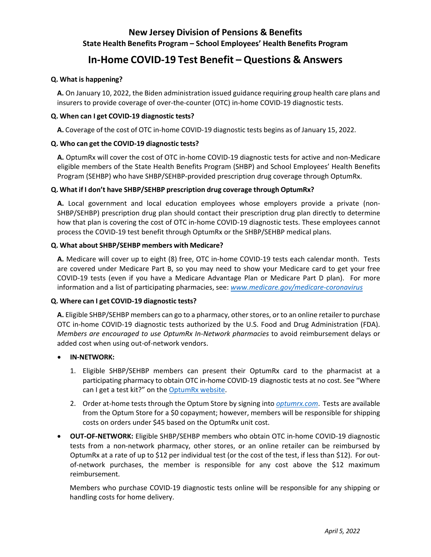# **New Jersey Division of Pensions & Benefits State Health Benefits Program – School Employees' Health Benefits Program**

# **In-Home COVID-19 Test Benefit – Questions & Answers**

# **Q. What is happening?**

**A.** On January 10, 2022, the Biden administration issued guidance requiring group health care plans and insurers to provide coverage of over-the-counter (OTC) in-home COVID-19 diagnostic tests.

# **Q. When can I get COVID-19 diagnostic tests?**

**A.** Coverage of the cost of OTC in-home COVID-19 diagnostic tests begins as of January 15, 2022.

# **Q. Who can get the COVID-19 diagnostic tests?**

**A.** OptumRx will cover the cost of OTC in-home COVID-19 diagnostic tests for active and non-Medicare eligible members of the State Health Benefits Program (SHBP) and School Employees' Health Benefits Program (SEHBP) who have SHBP/SEHBP-provided prescription drug coverage through OptumRx.

# **Q. What if I don't have SHBP/SEHBP prescription drug coverage through OptumRx?**

**A.** Local government and local education employees whose employers provide a private (non-SHBP/SEHBP) prescription drug plan should contact their prescription drug plan directly to determine how that plan is covering the cost of OTC in-home COVID-19 diagnostic tests. These employees cannot process the COVID-19 test benefit through OptumRx or the SHBP/SEHBP medical plans.

# **Q. What about SHBP/SEHBP members with Medicare?**

**A.** Medicare will cover up to eight (8) free, OTC in-home COVID-19 tests each calendar month. Tests are covered under Medicare Part B, so you may need to show your Medicare card to get your free COVID-19 tests (even if you have a Medicare Advantage Plan or Medicare Part D plan). For more information and a list of participating pharmacies, see: *[www.medicare.gov/medicare-coronavirus](https://www.medicare.gov/medicare-coronavirus#300)*

#### **Q. Where can I get COVID-19 diagnostic tests?**

A. Eligible SHBP/SEHBP members can go to a pharmacy, other stores, or to an online retailer to purchase OTC in-home COVID-19 diagnostic tests authorized by the U.S. Food and Drug Administration (FDA). *Members are encouraged to use OptumRx In-Network pharmacies* to avoid reimbursement delays or added cost when using out-of-network vendors.

#### • **IN-NETWORK:**

- 1. Eligible SHBP/SEHBP members can present their OptumRx card to the pharmacist at a participating pharmacy to obtain OTC in-home COVID-19 diagnostic tests at no cost. See "Where can I get a test kit?" on the [OptumRx website.](https://www.optumrx.com/content/rxmember/default/en_us/angular-free/optumrx/Information-Center/test-reimbursement.html?cid=em%3Aorx%3Apbm%3Acovidtest%3Aall%3Av1%3Apdf%3A122)
- 2. Order at-home tests through the Optum Store by signing into *[optumrx.com](https://www.optumrx.com/)*. Tests are available from the Optum Store for a \$0 copayment; however, members will be responsible for shipping costs on orders under \$45 based on the OptumRx unit cost.
- **OUT-OF-NETWORK:** Eligible SHBP/SEHBP members who obtain OTC in-home COVID-19 diagnostic tests from a non-network pharmacy, other stores, or an online retailer can be reimbursed by OptumRx at a rate of up to \$12 per individual test (or the cost of the test, if less than \$12). For outof-network purchases, the member is responsible for any cost above the \$12 maximum reimbursement.

Members who purchase COVID-19 diagnostic tests online will be responsible for any shipping or handling costs for home delivery.